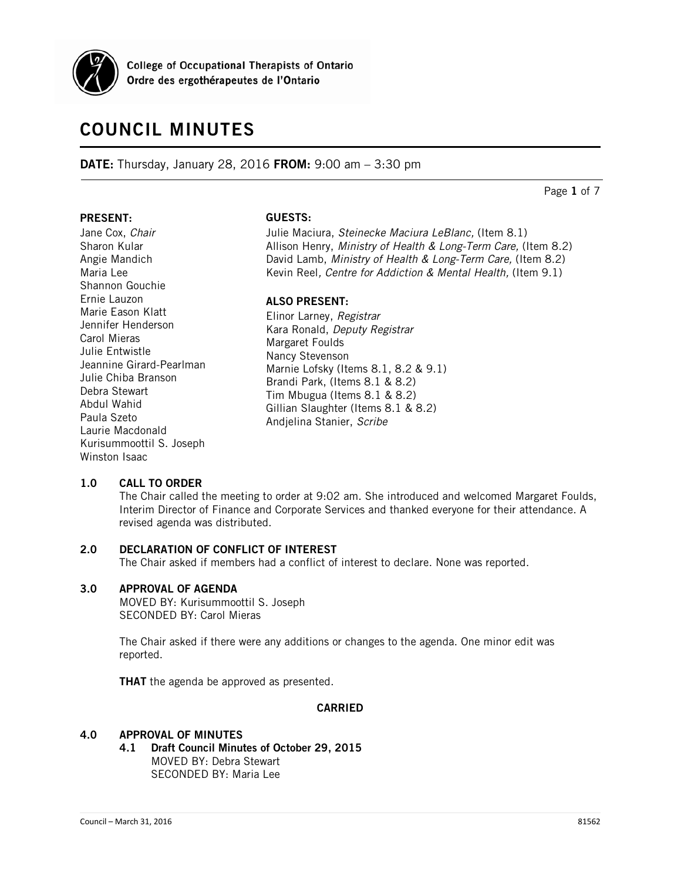

College of Occupational Therapists of Ontario Ordre des ergothérapeutes de l'Ontario

# **COUNCIL MINUTES**

**DATE:** Thursday, January 28, 2016 **FROM:** 9:00 am – 3:30 pm

Page **1** of 7

#### **PRESENT:**

Jane Cox, *Chair* Sharon Kular Angie Mandich Maria Lee Shannon Gouchie Ernie Lauzon Marie Eason Klatt Jennifer Henderson Carol Mieras Julie Entwistle Jeannine Girard-Pearlman Julie Chiba Branson Debra Stewart Abdul Wahid Paula Szeto Laurie Macdonald Kurisummoottil S. Joseph Winston Isaac

# **GUESTS:**

Julie Maciura, *Steinecke Maciura LeBlanc,* (Item 8.1) Allison Henry, *Ministry of Health & Long-Term Care,* (Item 8.2) David Lamb, *Ministry of Health & Long-Term Care,* (Item 8.2) Kevin Reel*, Centre for Addiction & Mental Health,* (Item 9.1)

# **ALSO PRESENT:**

Elinor Larney, *Registrar* Kara Ronald, *Deputy Registrar* Margaret Foulds Nancy Stevenson Marnie Lofsky (Items 8.1, 8.2 & 9.1) Brandi Park, (Items 8.1 & 8.2) Tim Mbugua (Items 8.1 & 8.2) Gillian Slaughter (Items 8.1 & 8.2) Andjelina Stanier, *Scribe*

# **1.0 CALL TO ORDER**

The Chair called the meeting to order at 9:02 am. She introduced and welcomed Margaret Foulds, Interim Director of Finance and Corporate Services and thanked everyone for their attendance. A revised agenda was distributed.

# **2.0 DECLARATION OF CONFLICT OF INTEREST**

The Chair asked if members had a conflict of interest to declare. None was reported.

#### **3.0 APPROVAL OF AGENDA**

MOVED BY: Kurisummoottil S. Joseph SECONDED BY: Carol Mieras

The Chair asked if there were any additions or changes to the agenda. One minor edit was reported.

**THAT** the agenda be approved as presented.

#### **CARRIED**

#### **4.0 APPROVAL OF MINUTES**

**4.1 Draft Council Minutes of October 29, 2015** MOVED BY: Debra Stewart SECONDED BY: Maria Lee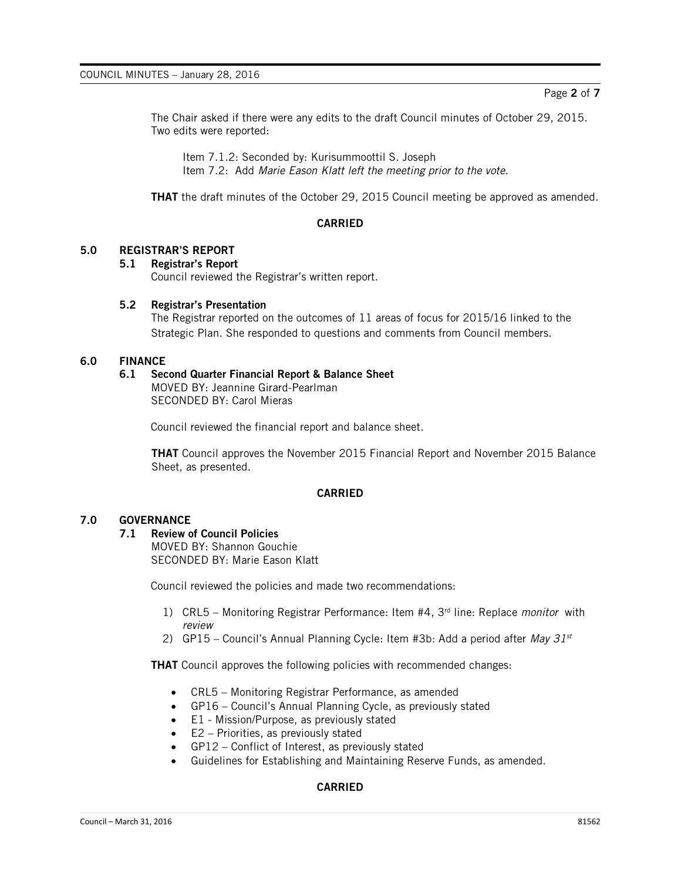The Chair asked if there were any edits to the draft Council minutes of October 29, 2015. Two edits were reported:

Item 7.1.2: Seconded by: Kurisummoottil S. Joseph Item 7.2: Add *Marie Eason Klatt left the meeting prior to the vote.*

**THAT** the draft minutes of the October 29, 2015 Council meeting be approved as amended.

# **CARRIED**

# **5.0 REGISTRAR'S REPORT**

#### **5.1 Registrar's Report**

Council reviewed the Registrar's written report.

#### **5.2 Registrar's Presentation**

The Registrar reported on the outcomes of 11 areas of focus for 2015/16 linked to the Strategic Plan. She responded to questions and comments from Council members.

# **6.0 FINANCE**

# **6.1 Second Quarter Financial Report & Balance Sheet**

MOVED BY: Jeannine Girard-Pearlman SECONDED BY: Carol Mieras

Council reviewed the financial report and balance sheet.

**THAT** Council approves the November 2015 Financial Report and November 2015 Balance Sheet, as presented.

#### **CARRIED**

### **7.0 GOVERNANCE**

### **7.1 Review of Council Policies**

MOVED BY: Shannon Gouchie SECONDED BY: Marie Eason Klatt

Council reviewed the policies and made two recommendations:

- 1) CRL5 Monitoring Registrar Performance: Item #4, 3rd line: Replace *monitor* with *review*
- 2) GP15 Council's Annual Planning Cycle: Item #3b: Add a period after *May 31st*

**THAT** Council approves the following policies with recommended changes:

- CRL5 Monitoring Registrar Performance, as amended
- GP16 Council's Annual Planning Cycle, as previously stated
- E1 Mission/Purpose, as previously stated
- E2 Priorities, as previously stated
- GP12 Conflict of Interest, as previously stated
- Guidelines for Establishing and Maintaining Reserve Funds, as amended.

# **CARRIED**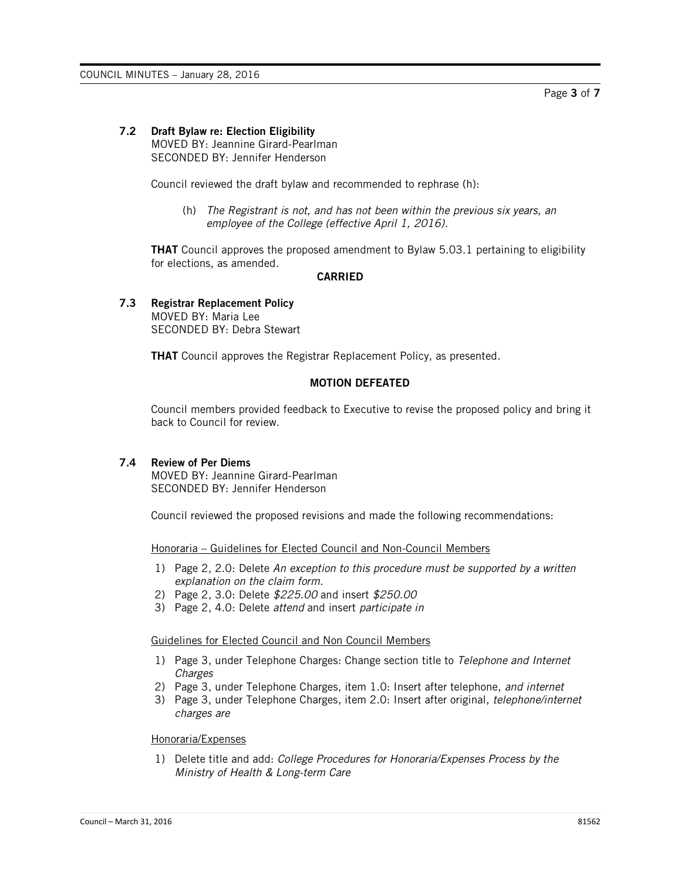#### **7.2 Draft Bylaw re: Election Eligibility**

MOVED BY: Jeannine Girard-Pearlman SECONDED BY: Jennifer Henderson

Council reviewed the draft bylaw and recommended to rephrase (h):

(h) *The Registrant is not, and has not been within the previous six years, an employee of the College (effective April 1, 2016).*

**THAT** Council approves the proposed amendment to Bylaw 5.03.1 pertaining to eligibility for elections, as amended.

## **CARRIED**

#### **7.3 Registrar Replacement Policy** MOVED BY: Maria Lee SECONDED BY: Debra Stewart

**THAT** Council approves the Registrar Replacement Policy, as presented.

# **MOTION DEFEATED**

Council members provided feedback to Executive to revise the proposed policy and bring it back to Council for review.

#### **7.4 Review of Per Diems**

MOVED BY: Jeannine Girard-Pearlman SECONDED BY: Jennifer Henderson

Council reviewed the proposed revisions and made the following recommendations:

Honoraria – Guidelines for Elected Council and Non-Council Members

- 1) Page 2, 2.0: Delete *An exception to this procedure must be supported by a written explanation on the claim form.*
- 2) Page 2, 3.0: Delete *\$225.00* and insert *\$250.00*
- 3) Page 2, 4.0: Delete *attend* and insert *participate in*

#### Guidelines for Elected Council and Non Council Members

- 1) Page 3, under Telephone Charges: Change section title to *Telephone and Internet Charges*
- 2) Page 3, under Telephone Charges, item 1.0: Insert after telephone, *and internet*
- 3) Page 3, under Telephone Charges, item 2.0: Insert after original, *telephone/internet charges are*

#### Honoraria/Expenses

1) Delete title and add: *College Procedures for Honoraria/Expenses Process by the Ministry of Health & Long-term Care*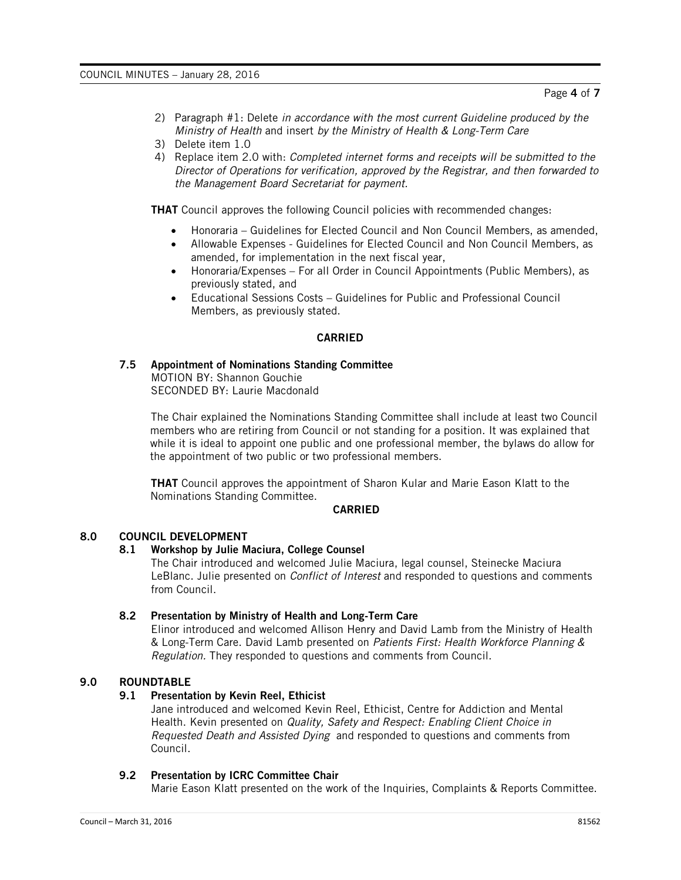- 2) Paragraph #1: Delete *in accordance with the most current Guideline produced by the Ministry of Health* and insert *by the Ministry of Health & Long-Term Care*
- 3) Delete item 1.0
- 4) Replace item 2.0 with: *Completed internet forms and receipts will be submitted to the Director of Operations for verification, approved by the Registrar, and then forwarded to the Management Board Secretariat for payment.*

**THAT** Council approves the following Council policies with recommended changes:

- Honoraria Guidelines for Elected Council and Non Council Members, as amended,
- Allowable Expenses Guidelines for Elected Council and Non Council Members, as amended, for implementation in the next fiscal year,
- Honoraria/Expenses For all Order in Council Appointments (Public Members), as previously stated, and
- Educational Sessions Costs Guidelines for Public and Professional Council Members, as previously stated.

# **CARRIED**

# **7.5 Appointment of Nominations Standing Committee**

MOTION BY: Shannon Gouchie SECONDED BY: Laurie Macdonald

The Chair explained the Nominations Standing Committee shall include at least two Council members who are retiring from Council or not standing for a position. It was explained that while it is ideal to appoint one public and one professional member, the bylaws do allow for the appointment of two public or two professional members.

**THAT** Council approves the appointment of Sharon Kular and Marie Eason Klatt to the Nominations Standing Committee.

## **CARRIED**

# **8.0 COUNCIL DEVELOPMENT**

#### **8.1 Workshop by Julie Maciura, College Counsel**

The Chair introduced and welcomed Julie Maciura, legal counsel, Steinecke Maciura LeBlanc. Julie presented on *Conflict of Interest* and responded to questions and comments from Council.

#### **8.2 Presentation by Ministry of Health and Long-Term Care**

Elinor introduced and welcomed Allison Henry and David Lamb from the Ministry of Health & Long-Term Care. David Lamb presented on *Patients First: Health Workforce Planning & Regulation.* They responded to questions and comments from Council.

# **9.0 ROUNDTABLE**

# **9.1 Presentation by Kevin Reel, Ethicist**

Jane introduced and welcomed Kevin Reel, Ethicist, Centre for Addiction and Mental Health. Kevin presented on *Quality, Safety and Respect: Enabling Client Choice in Requested Death and Assisted Dying* and responded to questions and comments from Council.

#### **9.2 Presentation by ICRC Committee Chair**

Marie Eason Klatt presented on the work of the Inquiries, Complaints & Reports Committee.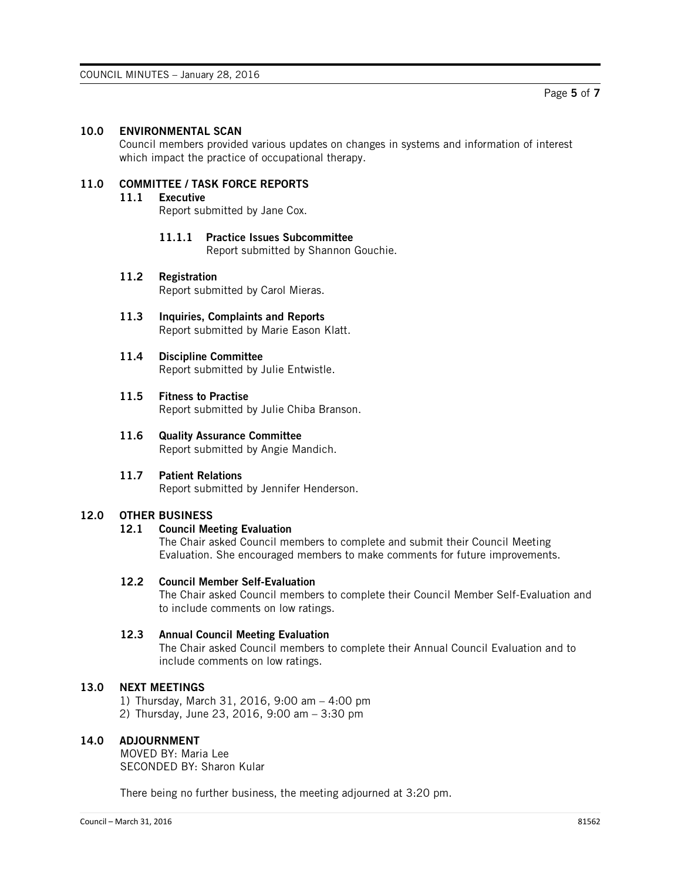# **10.0 ENVIRONMENTAL SCAN**

Council members provided various updates on changes in systems and information of interest which impact the practice of occupational therapy.

# **11.0 COMMITTEE / TASK FORCE REPORTS**

#### **11.1 Executive**

Report submitted by Jane Cox.

**11.1.1 Practice Issues Subcommittee** Report submitted by Shannon Gouchie.

# **11.2 Registration**

Report submitted by Carol Mieras.

- **11.3 Inquiries, Complaints and Reports** Report submitted by Marie Eason Klatt.
- **11.4 Discipline Committee** Report submitted by Julie Entwistle.

#### **11.5 Fitness to Practise**

Report submitted by Julie Chiba Branson.

- **11.6 Quality Assurance Committee** Report submitted by Angie Mandich.
- **11.7 Patient Relations**

Report submitted by Jennifer Henderson.

# **12.0 OTHER BUSINESS**

#### **12.1 Council Meeting Evaluation**

The Chair asked Council members to complete and submit their Council Meeting Evaluation. She encouraged members to make comments for future improvements.

# **12.2 Council Member Self-Evaluation**

The Chair asked Council members to complete their Council Member Self-Evaluation and to include comments on low ratings.

#### **12.3 Annual Council Meeting Evaluation**

The Chair asked Council members to complete their Annual Council Evaluation and to include comments on low ratings.

# **13.0 NEXT MEETINGS**

1) Thursday, March 31, 2016, 9:00 am – 4:00 pm 2) Thursday, June 23, 2016, 9:00 am – 3:30 pm

#### **14.0 ADJOURNMENT**

MOVED BY: Maria Lee SECONDED BY: Sharon Kular

There being no further business, the meeting adjourned at 3:20 pm.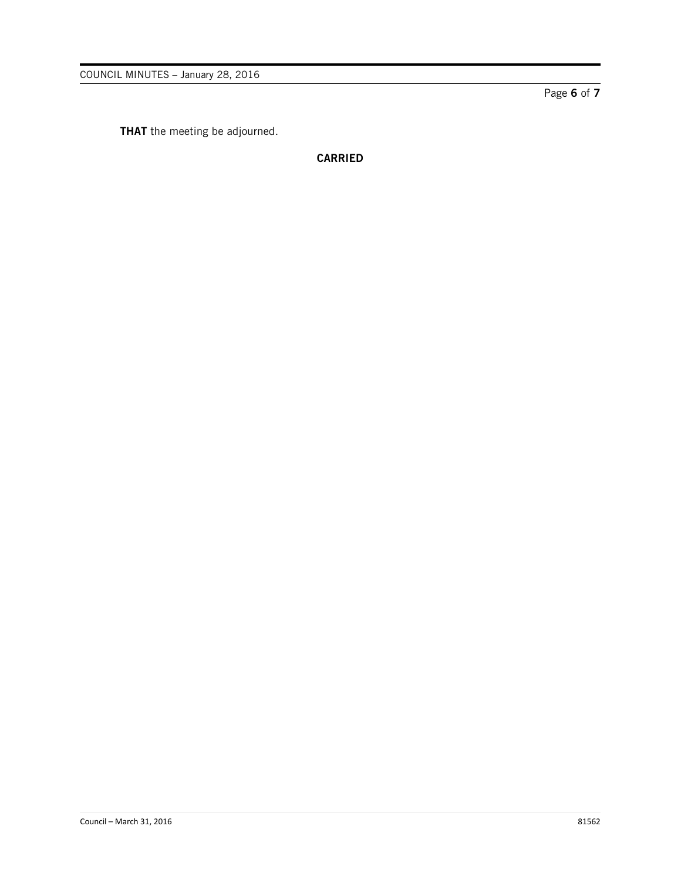**THAT** the meeting be adjourned.

**CARRIED**

Page **6** of **7**